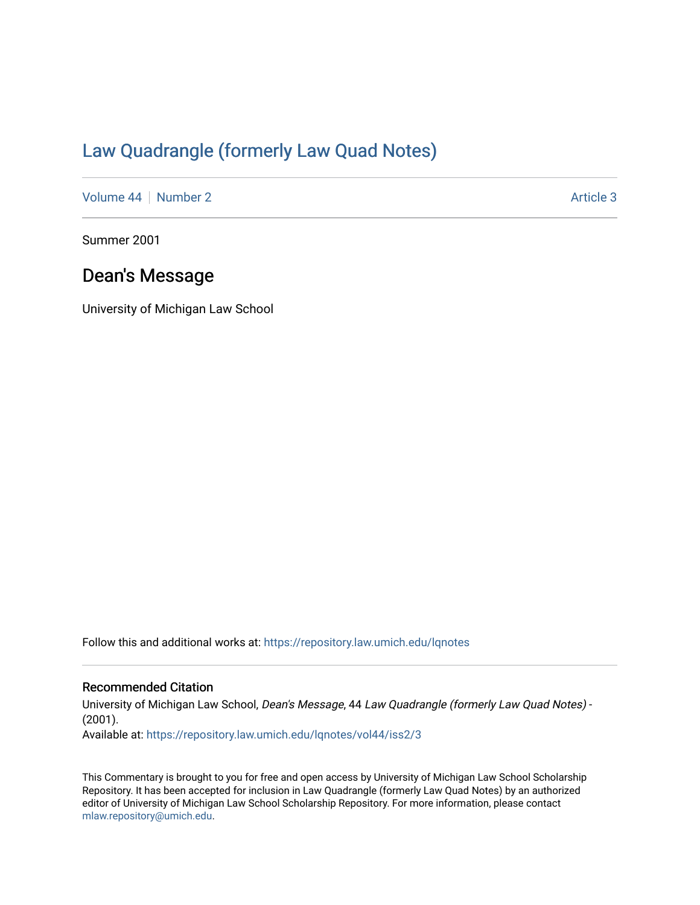## [Law Quadrangle \(formerly Law Quad Notes\)](https://repository.law.umich.edu/lqnotes)

[Volume 44](https://repository.law.umich.edu/lqnotes/vol44) [Number 2](https://repository.law.umich.edu/lqnotes/vol44/iss2) Article 3

Summer 2001

## Dean's Message

University of Michigan Law School

Follow this and additional works at: [https://repository.law.umich.edu/lqnotes](https://repository.law.umich.edu/lqnotes?utm_source=repository.law.umich.edu%2Flqnotes%2Fvol44%2Fiss2%2F3&utm_medium=PDF&utm_campaign=PDFCoverPages) 

## Recommended Citation

University of Michigan Law School, Dean's Message, 44 Law Quadrangle (formerly Law Quad Notes) - (2001). Available at: [https://repository.law.umich.edu/lqnotes/vol44/iss2/3](https://repository.law.umich.edu/lqnotes/vol44/iss2/3?utm_source=repository.law.umich.edu%2Flqnotes%2Fvol44%2Fiss2%2F3&utm_medium=PDF&utm_campaign=PDFCoverPages) 

This Commentary is brought to you for free and open access by University of Michigan Law School Scholarship Repository. It has been accepted for inclusion in Law Quadrangle (formerly Law Quad Notes) by an authorized editor of University of Michigan Law School Scholarship Repository. For more information, please contact [mlaw.repository@umich.edu.](mailto:mlaw.repository@umich.edu)